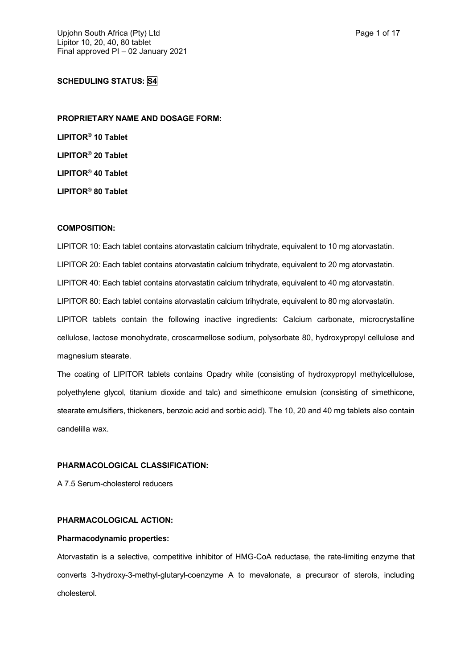# **SCHEDULING STATUS: S4**

**PROPRIETARY NAME AND DOSAGE FORM: LIPITOR® 10 Tablet LIPITOR® 20 Tablet LIPITOR® 40 Tablet LIPITOR® 80 Tablet**

#### **COMPOSITION:**

LIPITOR 10: Each tablet contains atorvastatin calcium trihydrate, equivalent to 10 mg atorvastatin. LIPITOR 20: Each tablet contains atorvastatin calcium trihydrate, equivalent to 20 mg atorvastatin. LIPITOR 40: Each tablet contains atorvastatin calcium trihydrate, equivalent to 40 mg atorvastatin. LIPITOR 80: Each tablet contains atorvastatin calcium trihydrate, equivalent to 80 mg atorvastatin. LIPITOR tablets contain the following inactive ingredients: Calcium carbonate, microcrystalline cellulose, lactose monohydrate, croscarmellose sodium, polysorbate 80, hydroxypropyl cellulose and magnesium stearate.

The coating of LIPITOR tablets contains Opadry white (consisting of hydroxypropyl methylcellulose, polyethylene glycol, titanium dioxide and talc) and simethicone emulsion (consisting of simethicone, stearate emulsifiers, thickeners, benzoic acid and sorbic acid). The 10, 20 and 40 mg tablets also contain candelilla wax.

## **PHARMACOLOGICAL CLASSIFICATION:**

A 7.5 Serum-cholesterol reducers

## **PHARMACOLOGICAL ACTION:**

#### **Pharmacodynamic properties:**

Atorvastatin is a selective, competitive inhibitor of HMG-CoA reductase, the rate-limiting enzyme that converts 3-hydroxy-3-methyl-glutaryl-coenzyme A to mevalonate, a precursor of sterols, including cholesterol.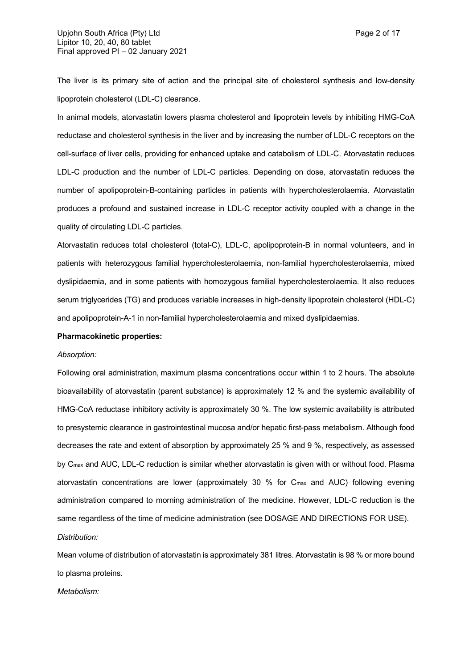The liver is its primary site of action and the principal site of cholesterol synthesis and low-density lipoprotein cholesterol (LDL-C) clearance.

In animal models, atorvastatin lowers plasma cholesterol and lipoprotein levels by inhibiting HMG-CoA reductase and cholesterol synthesis in the liver and by increasing the number of LDL-C receptors on the cell-surface of liver cells, providing for enhanced uptake and catabolism of LDL-C. Atorvastatin reduces LDL-C production and the number of LDL-C particles. Depending on dose, atorvastatin reduces the number of apolipoprotein-B-containing particles in patients with hypercholesterolaemia. Atorvastatin produces a profound and sustained increase in LDL-C receptor activity coupled with a change in the quality of circulating LDL-C particles.

Atorvastatin reduces total cholesterol (total-C), LDL-C, apolipoprotein-B in normal volunteers, and in patients with heterozygous familial hypercholesterolaemia, non-familial hypercholesterolaemia, mixed dyslipidaemia, and in some patients with homozygous familial hypercholesterolaemia. It also reduces serum triglycerides (TG) and produces variable increases in high-density lipoprotein cholesterol (HDL-C) and apolipoprotein-A-1 in non-familial hypercholesterolaemia and mixed dyslipidaemias.

#### **Pharmacokinetic properties:**

#### *Absorption:*

Following oral administration, maximum plasma concentrations occur within 1 to 2 hours. The absolute bioavailability of atorvastatin (parent substance) is approximately 12 % and the systemic availability of HMG-CoA reductase inhibitory activity is approximately 30 %. The low systemic availability is attributed to presystemic clearance in gastrointestinal mucosa and/or hepatic first-pass metabolism. Although food decreases the rate and extent of absorption by approximately 25 % and 9 %, respectively, as assessed by C<sub>max</sub> and AUC, LDL-C reduction is similar whether atorvastatin is given with or without food. Plasma atorvastatin concentrations are lower (approximately 30 % for Cmax and AUC) following evening administration compared to morning administration of the medicine. However, LDL-C reduction is the same regardless of the time of medicine administration (see DOSAGE AND DIRECTIONS FOR USE). *Distribution:*

Mean volume of distribution of atorvastatin is approximately 381 litres. Atorvastatin is 98 % or more bound to plasma proteins.

*Metabolism:*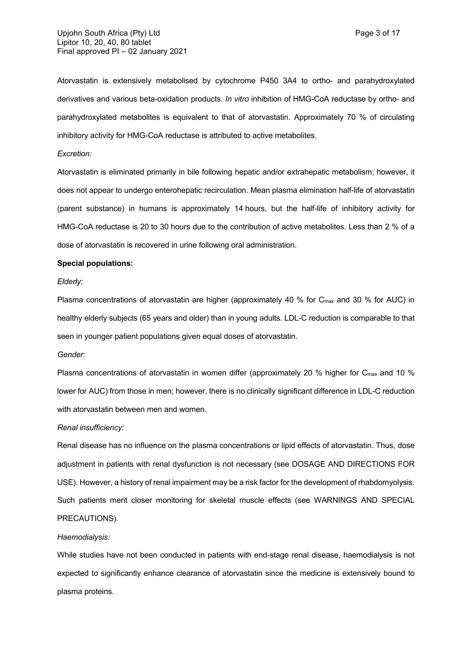Atorvastatin is extensively metabolised by cytochrome P450 3A4 to ortho- and parahydroxylated derivatives and various beta-oxidation products. *In vitro* inhibition of HMG-CoA reductase by ortho- and parahydroxylated metabolites is equivalent to that of atorvastatin. Approximately 70 % of circulating inhibitory activity for HMG-CoA reductase is attributed to active metabolites.

#### *Excretion:*

Atorvastatin is eliminated primarily in bile following hepatic and/or extrahepatic metabolism; however, it does not appear to undergo enterohepatic recirculation. Mean plasma elimination half-life of atorvastatin (parent substance) in humans is approximately 14 hours, but the half-life of inhibitory activity for HMG-CoA reductase is 20 to 30 hours due to the contribution of active metabolites. Less than 2 % of a dose of atorvastatin is recovered in urine following oral administration.

#### **Special populations:**

### *Elderly:*

Plasma concentrations of atorvastatin are higher (approximately 40 % for C<sub>max</sub> and 30 % for AUC) in healthy elderly subjects (65 years and older) than in young adults. LDL-C reduction is comparable to that seen in younger patient populations given equal doses of atorvastatin.

## *Gender:*

Plasma concentrations of atorvastatin in women differ (approximately 20 % higher for  $C_{\text{max}}$  and 10 % lower for AUC) from those in men; however, there is no clinically significant difference in LDL-C reduction with atorvastatin between men and women.

#### *Renal insufficiency:*

Renal disease has no influence on the plasma concentrations or lipid effects of atorvastatin. Thus, dose adjustment in patients with renal dysfunction is not necessary (see DOSAGE AND DIRECTIONS FOR USE). However, a history of renal impairment may be a risk factor for the development of rhabdomyolysis. Such patients merit closer monitoring for skeletal muscle effects (see WARNINGS AND SPECIAL PRECAUTIONS).

#### *Haemodialysis:*

While studies have not been conducted in patients with end-stage renal disease, haemodialysis is not expected to significantly enhance clearance of atorvastatin since the medicine is extensively bound to plasma proteins.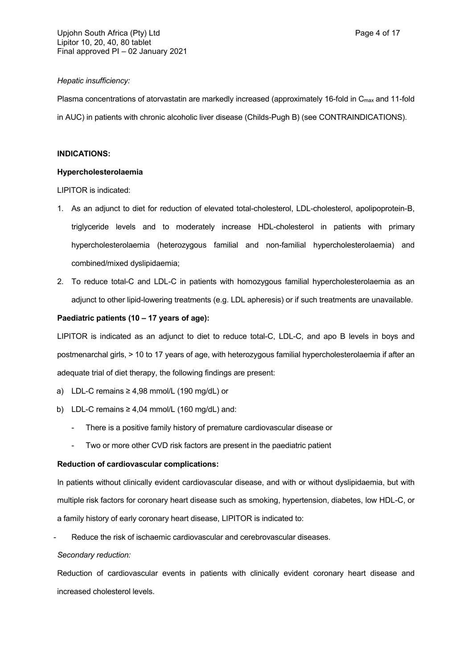## *Hepatic insufficiency:*

Plasma concentrations of atorvastatin are markedly increased (approximately 16-fold in C<sub>max</sub> and 11-fold in AUC) in patients with chronic alcoholic liver disease (Childs-Pugh B) (see CONTRAINDICATIONS).

## **INDICATIONS:**

## **Hypercholesterolaemia**

LIPITOR is indicated:

- 1. As an adjunct to diet for reduction of elevated total-cholesterol, LDL-cholesterol, apolipoprotein-B, triglyceride levels and to moderately increase HDL-cholesterol in patients with primary hypercholesterolaemia (heterozygous familial and non-familial hypercholesterolaemia) and combined/mixed dyslipidaemia;
- 2. To reduce total-C and LDL-C in patients with homozygous familial hypercholesterolaemia as an adjunct to other lipid-lowering treatments (e.g. LDL apheresis) or if such treatments are unavailable.

## **Paediatric patients (10 – 17 years of age):**

LIPITOR is indicated as an adjunct to diet to reduce total-C, LDL-C, and apo B levels in boys and postmenarchal girls, > 10 to 17 years of age, with heterozygous familial hypercholesterolaemia if after an adequate trial of diet therapy, the following findings are present:

- a) LDL-C remains ≥ 4,98 mmol/L (190 mg/dL) or
- b) LDL-C remains  $\geq 4.04$  mmol/L (160 mg/dL) and:
	- There is a positive family history of premature cardiovascular disease or
	- Two or more other CVD risk factors are present in the paediatric patient

# **Reduction of cardiovascular complications:**

In patients without clinically evident cardiovascular disease, and with or without dyslipidaemia, but with multiple risk factors for coronary heart disease such as smoking, hypertension, diabetes, low HDL-C, or a family history of early coronary heart disease, LIPITOR is indicated to:

Reduce the risk of ischaemic cardiovascular and cerebrovascular diseases.

## *Secondary reduction:*

Reduction of cardiovascular events in patients with clinically evident coronary heart disease and increased cholesterol levels.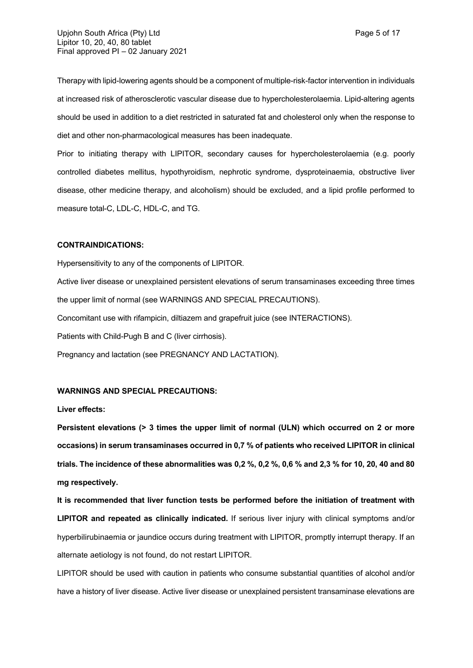Therapy with lipid-lowering agents should be a component of multiple-risk-factor intervention in individuals at increased risk of atherosclerotic vascular disease due to hypercholesterolaemia. Lipid-altering agents should be used in addition to a diet restricted in saturated fat and cholesterol only when the response to diet and other non-pharmacological measures has been inadequate.

Prior to initiating therapy with LIPITOR, secondary causes for hypercholesterolaemia (e.g. poorly controlled diabetes mellitus, hypothyroidism, nephrotic syndrome, dysproteinaemia, obstructive liver disease, other medicine therapy, and alcoholism) should be excluded, and a lipid profile performed to measure total-C, LDL-C, HDL-C, and TG.

#### **CONTRAINDICATIONS:**

Hypersensitivity to any of the components of LIPITOR.

Active liver disease or unexplained persistent elevations of serum transaminases exceeding three times the upper limit of normal (see WARNINGS AND SPECIAL PRECAUTIONS).

Concomitant use with rifampicin, diltiazem and grapefruit juice (see INTERACTIONS).

Patients with Child-Pugh B and C (liver cirrhosis).

Pregnancy and lactation (see PREGNANCY AND LACTATION).

#### **WARNINGS AND SPECIAL PRECAUTIONS:**

#### **Liver effects:**

**Persistent elevations (> 3 times the upper limit of normal (ULN) which occurred on 2 or more occasions) in serum transaminases occurred in 0,7 % of patients who received LIPITOR in clinical trials. The incidence of these abnormalities was 0,2 %, 0,2 %, 0,6 % and 2,3 % for 10, 20, 40 and 80 mg respectively.**

**It is recommended that liver function tests be performed before the initiation of treatment with LIPITOR and repeated as clinically indicated.** If serious liver injury with clinical symptoms and/or hyperbilirubinaemia or jaundice occurs during treatment with LIPITOR, promptly interrupt therapy. If an alternate aetiology is not found, do not restart LIPITOR.

LIPITOR should be used with caution in patients who consume substantial quantities of alcohol and/or have a history of liver disease. Active liver disease or unexplained persistent transaminase elevations are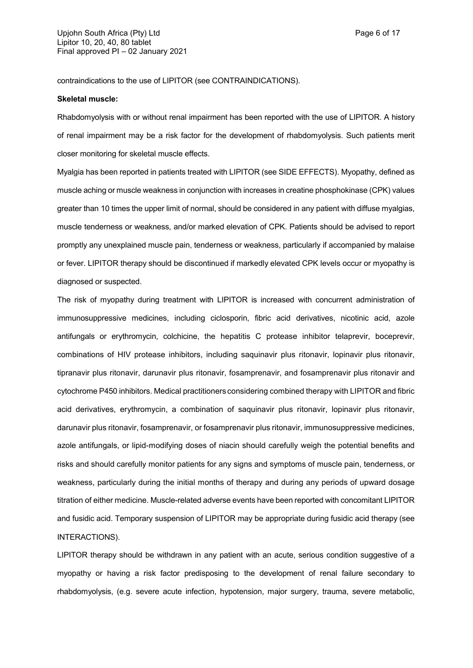contraindications to the use of LIPITOR (see CONTRAINDICATIONS).

### **Skeletal muscle:**

Rhabdomyolysis with or without renal impairment has been reported with the use of LIPITOR. A history of renal impairment may be a risk factor for the development of rhabdomyolysis. Such patients merit closer monitoring for skeletal muscle effects.

Myalgia has been reported in patients treated with LIPITOR (see SIDE EFFECTS). Myopathy, defined as muscle aching or muscle weakness in conjunction with increases in creatine phosphokinase (CPK) values greater than 10 times the upper limit of normal, should be considered in any patient with diffuse myalgias, muscle tenderness or weakness, and/or marked elevation of CPK. Patients should be advised to report promptly any unexplained muscle pain, tenderness or weakness, particularly if accompanied by malaise or fever. LIPITOR therapy should be discontinued if markedly elevated CPK levels occur or myopathy is diagnosed or suspected.

The risk of myopathy during treatment with LIPITOR is increased with concurrent administration of immunosuppressive medicines, including ciclosporin, fibric acid derivatives, nicotinic acid, azole antifungals or erythromycin, colchicine, the hepatitis C protease inhibitor telaprevir, boceprevir, combinations of HIV protease inhibitors, including saquinavir plus ritonavir, lopinavir plus ritonavir, tipranavir plus ritonavir, darunavir plus ritonavir, fosamprenavir, and fosamprenavir plus ritonavir and cytochrome P450 inhibitors. Medical practitioners considering combined therapy with LIPITOR and fibric acid derivatives, erythromycin, a combination of saquinavir plus ritonavir, lopinavir plus ritonavir, darunavir plus ritonavir, fosamprenavir, or fosamprenavir plus ritonavir, immunosuppressive medicines, azole antifungals, or lipid-modifying doses of niacin should carefully weigh the potential benefits and risks and should carefully monitor patients for any signs and symptoms of muscle pain, tenderness, or weakness, particularly during the initial months of therapy and during any periods of upward dosage titration of either medicine. Muscle-related adverse events have been reported with concomitant LIPITOR and fusidic acid. Temporary suspension of LIPITOR may be appropriate during fusidic acid therapy (see INTERACTIONS).

LIPITOR therapy should be withdrawn in any patient with an acute, serious condition suggestive of a myopathy or having a risk factor predisposing to the development of renal failure secondary to rhabdomyolysis, (e.g. severe acute infection, hypotension, major surgery, trauma, severe metabolic,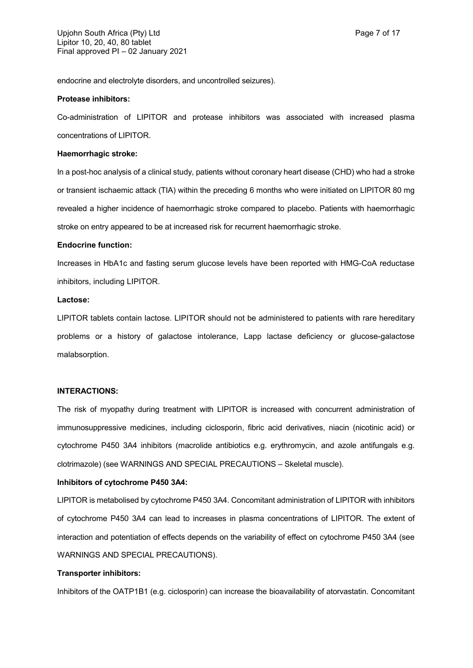endocrine and electrolyte disorders, and uncontrolled seizures).

### **Protease inhibitors:**

Co-administration of LIPITOR and protease inhibitors was associated with increased plasma concentrations of LIPITOR.

### **Haemorrhagic stroke:**

In a post-hoc analysis of a clinical study, patients without coronary heart disease (CHD) who had a stroke or transient ischaemic attack (TIA) within the preceding 6 months who were initiated on LIPITOR 80 mg revealed a higher incidence of haemorrhagic stroke compared to placebo. Patients with haemorrhagic stroke on entry appeared to be at increased risk for recurrent haemorrhagic stroke.

#### **Endocrine function:**

Increases in HbA1c and fasting serum glucose levels have been reported with HMG-CoA reductase inhibitors, including LIPITOR.

#### **Lactose:**

LIPITOR tablets contain lactose. LIPITOR should not be administered to patients with rare hereditary problems or a history of galactose intolerance, Lapp lactase deficiency or glucose-galactose malabsorption.

#### **INTERACTIONS:**

The risk of myopathy during treatment with LIPITOR is increased with concurrent administration of immunosuppressive medicines, including ciclosporin, fibric acid derivatives, niacin (nicotinic acid) or cytochrome P450 3A4 inhibitors (macrolide antibiotics e.g. erythromycin, and azole antifungals e.g. clotrimazole) (see WARNINGS AND SPECIAL PRECAUTIONS – Skeletal muscle).

#### **Inhibitors of cytochrome P450 3A4:**

LIPITOR is metabolised by cytochrome P450 3A4. Concomitant administration of LIPITOR with inhibitors of cytochrome P450 3A4 can lead to increases in plasma concentrations of LIPITOR. The extent of interaction and potentiation of effects depends on the variability of effect on cytochrome P450 3A4 (see WARNINGS AND SPECIAL PRECAUTIONS).

#### **Transporter inhibitors:**

Inhibitors of the OATP1B1 (e.g. ciclosporin) can increase the bioavailability of atorvastatin. Concomitant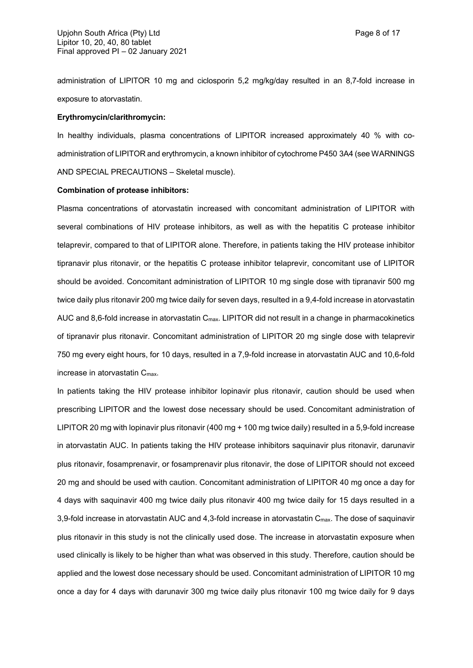administration of LIPITOR 10 mg and ciclosporin 5,2 mg/kg/day resulted in an 8,7-fold increase in exposure to atorvastatin.

#### **Erythromycin/clarithromycin:**

In healthy individuals, plasma concentrations of LIPITOR increased approximately 40 % with coadministration of LIPITOR and erythromycin, a known inhibitor of cytochrome P450 3A4 (see WARNINGS AND SPECIAL PRECAUTIONS – Skeletal muscle).

### **Combination of protease inhibitors:**

Plasma concentrations of atorvastatin increased with concomitant administration of LIPITOR with several combinations of HIV protease inhibitors, as well as with the hepatitis C protease inhibitor telaprevir, compared to that of LIPITOR alone. Therefore, in patients taking the HIV protease inhibitor tipranavir plus ritonavir, or the hepatitis C protease inhibitor telaprevir, concomitant use of LIPITOR should be avoided. Concomitant administration of LIPITOR 10 mg single dose with tipranavir 500 mg twice daily plus ritonavir 200 mg twice daily for seven days, resulted in a 9,4-fold increase in atorvastatin AUC and 8,6-fold increase in atorvastatin C<sub>max</sub>. LIPITOR did not result in a change in pharmacokinetics of tipranavir plus ritonavir. Concomitant administration of LIPITOR 20 mg single dose with telaprevir 750 mg every eight hours, for 10 days, resulted in a 7,9-fold increase in atorvastatin AUC and 10,6-fold increase in atorvastatin Cmax.

In patients taking the HIV protease inhibitor lopinavir plus ritonavir, caution should be used when prescribing LIPITOR and the lowest dose necessary should be used. Concomitant administration of LIPITOR 20 mg with lopinavir plus ritonavir (400 mg + 100 mg twice daily) resulted in a 5,9-fold increase in atorvastatin AUC. In patients taking the HIV protease inhibitors saquinavir plus ritonavir, darunavir plus ritonavir, fosamprenavir, or fosamprenavir plus ritonavir, the dose of LIPITOR should not exceed 20 mg and should be used with caution. Concomitant administration of LIPITOR 40 mg once a day for 4 days with saquinavir 400 mg twice daily plus ritonavir 400 mg twice daily for 15 days resulted in a 3,9-fold increase in atorvastatin AUC and 4,3-fold increase in atorvastatin  $C_{\text{max}}$ . The dose of saquinavir plus ritonavir in this study is not the clinically used dose. The increase in atorvastatin exposure when used clinically is likely to be higher than what was observed in this study. Therefore, caution should be applied and the lowest dose necessary should be used. Concomitant administration of LIPITOR 10 mg once a day for 4 days with darunavir 300 mg twice daily plus ritonavir 100 mg twice daily for 9 days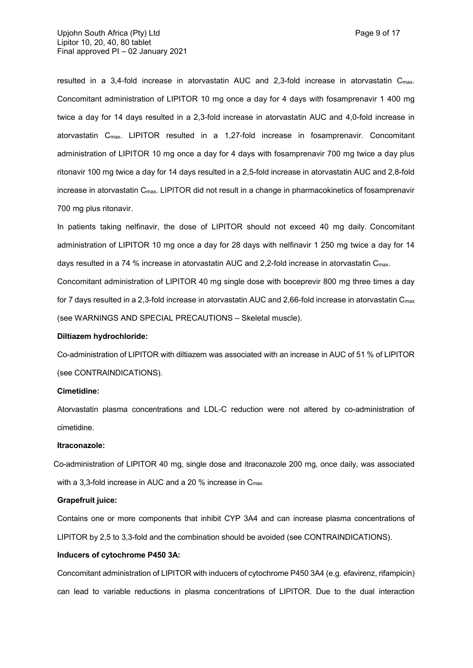resulted in a 3,4-fold increase in atorvastatin AUC and 2,3-fold increase in atorvastatin C<sub>max</sub>. Concomitant administration of LIPITOR 10 mg once a day for 4 days with fosamprenavir 1 400 mg twice a day for 14 days resulted in a 2,3-fold increase in atorvastatin AUC and 4,0-fold increase in atorvastatin Cmax. LIPITOR resulted in a 1,27-fold increase in fosamprenavir. Concomitant administration of LIPITOR 10 mg once a day for 4 days with fosamprenavir 700 mg twice a day plus ritonavir 100 mg twice a day for 14 days resulted in a 2,5-fold increase in atorvastatin AUC and 2,8-fold increase in atorvastatin C<sub>max</sub>. LIPITOR did not result in a change in pharmacokinetics of fosamprenavir 700 mg plus ritonavir.

In patients taking nelfinavir, the dose of LIPITOR should not exceed 40 mg daily. Concomitant administration of LIPITOR 10 mg once a day for 28 days with nelfinavir 1 250 mg twice a day for 14 days resulted in a 74 % increase in atorvastatin AUC and 2,2-fold increase in atorvastatin  $C_{\text{max}}$ . Concomitant administration of LIPITOR 40 mg single dose with boceprevir 800 mg three times a day for 7 days resulted in a 2,3-fold increase in atorvastatin AUC and 2,66-fold increase in atorvastatin C<sub>max</sub> (see WARNINGS AND SPECIAL PRECAUTIONS – Skeletal muscle).

#### **Diltiazem hydrochloride:**

Co-administration of LIPITOR with diltiazem was associated with an increase in AUC of 51 % of LIPITOR (see CONTRAINDICATIONS).

#### **Cimetidine:**

Atorvastatin plasma concentrations and LDL-C reduction were not altered by co-administration of cimetidine.

#### **Itraconazole:**

Co-administration of LIPITOR 40 mg, single dose and itraconazole 200 mg, once daily, was associated with a 3,3-fold increase in AUC and a 20 % increase in C<sub>max.</sub>

## **Grapefruit juice:**

Contains one or more components that inhibit CYP 3A4 and can increase plasma concentrations of LIPITOR by 2,5 to 3,3-fold and the combination should be avoided (see CONTRAINDICATIONS).

### **Inducers of cytochrome P450 3A:**

Concomitant administration of LIPITOR with inducers of cytochrome P450 3A4 (e.g. efavirenz, rifampicin) can lead to variable reductions in plasma concentrations of LIPITOR. Due to the dual interaction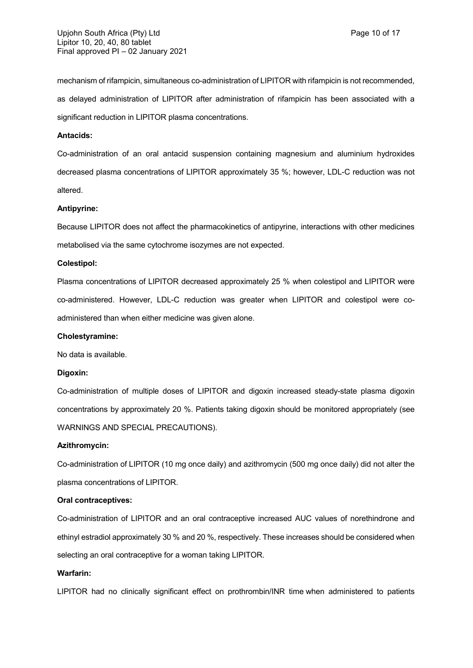mechanism of rifampicin, simultaneous co-administration of LIPITOR with rifampicin is not recommended, as delayed administration of LIPITOR after administration of rifampicin has been associated with a significant reduction in LIPITOR plasma concentrations.

## **Antacids:**

Co-administration of an oral antacid suspension containing magnesium and aluminium hydroxides decreased plasma concentrations of LIPITOR approximately 35 %; however, LDL-C reduction was not altered.

### **Antipyrine:**

Because LIPITOR does not affect the pharmacokinetics of antipyrine, interactions with other medicines metabolised via the same cytochrome isozymes are not expected.

#### **Colestipol:**

Plasma concentrations of LIPITOR decreased approximately 25 % when colestipol and LIPITOR were co-administered. However, LDL-C reduction was greater when LIPITOR and colestipol were coadministered than when either medicine was given alone.

### **Cholestyramine:**

No data is available.

#### **Digoxin:**

Co-administration of multiple doses of LIPITOR and digoxin increased steady-state plasma digoxin concentrations by approximately 20 %. Patients taking digoxin should be monitored appropriately (see WARNINGS AND SPECIAL PRECAUTIONS).

### **Azithromycin:**

Co-administration of LIPITOR (10 mg once daily) and azithromycin (500 mg once daily) did not alter the plasma concentrations of LIPITOR.

### **Oral contraceptives:**

Co-administration of LIPITOR and an oral contraceptive increased AUC values of norethindrone and ethinyl estradiol approximately 30 % and 20 %, respectively. These increases should be considered when selecting an oral contraceptive for a woman taking LIPITOR.

#### **Warfarin:**

LIPITOR had no clinically significant effect on prothrombin/INR time when administered to patients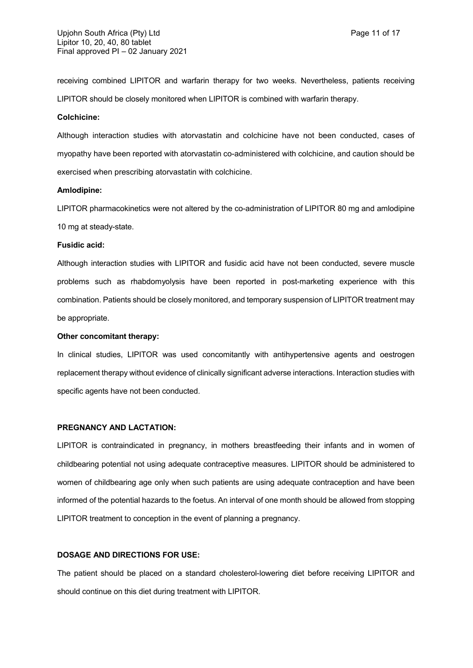receiving combined LIPITOR and warfarin therapy for two weeks. Nevertheless, patients receiving LIPITOR should be closely monitored when LIPITOR is combined with warfarin therapy.

## **Colchicine:**

Although interaction studies with atorvastatin and colchicine have not been conducted, cases of myopathy have been reported with atorvastatin co-administered with colchicine, and caution should be exercised when prescribing atorvastatin with colchicine.

### **Amlodipine:**

LIPITOR pharmacokinetics were not altered by the co-administration of LIPITOR 80 mg and amlodipine 10 mg at steady-state.

#### **Fusidic acid:**

Although interaction studies with LIPITOR and fusidic acid have not been conducted, severe muscle problems such as rhabdomyolysis have been reported in post-marketing experience with this combination. Patients should be closely monitored, and temporary suspension of LIPITOR treatment may be appropriate.

### **Other concomitant therapy:**

In clinical studies, LIPITOR was used concomitantly with antihypertensive agents and oestrogen replacement therapy without evidence of clinically significant adverse interactions. Interaction studies with specific agents have not been conducted.

#### **PREGNANCY AND LACTATION:**

LIPITOR is contraindicated in pregnancy, in mothers breastfeeding their infants and in women of childbearing potential not using adequate contraceptive measures. LIPITOR should be administered to women of childbearing age only when such patients are using adequate contraception and have been informed of the potential hazards to the foetus. An interval of one month should be allowed from stopping LIPITOR treatment to conception in the event of planning a pregnancy.

## **DOSAGE AND DIRECTIONS FOR USE:**

The patient should be placed on a standard cholesterol-lowering diet before receiving LIPITOR and should continue on this diet during treatment with LIPITOR.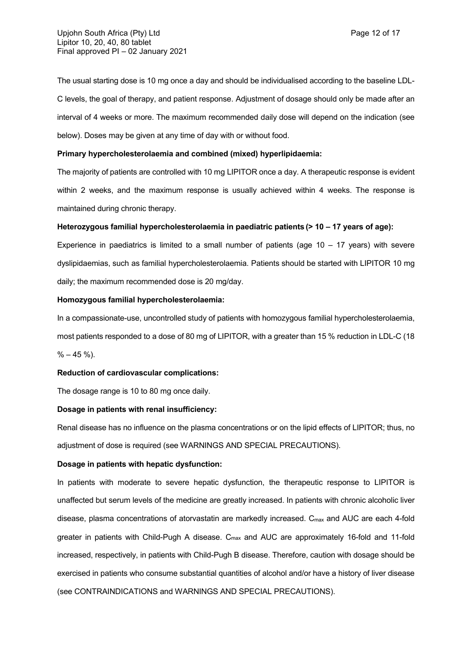The usual starting dose is 10 mg once a day and should be individualised according to the baseline LDL-C levels, the goal of therapy, and patient response. Adjustment of dosage should only be made after an interval of 4 weeks or more. The maximum recommended daily dose will depend on the indication (see below). Doses may be given at any time of day with or without food.

## **Primary hypercholesterolaemia and combined (mixed) hyperlipidaemia:**

The majority of patients are controlled with 10 mg LIPITOR once a day. A therapeutic response is evident within 2 weeks, and the maximum response is usually achieved within 4 weeks. The response is maintained during chronic therapy.

## **Heterozygous familial hypercholesterolaemia in paediatric patients (> 10 – 17 years of age):**

Experience in paediatrics is limited to a small number of patients (age  $10 - 17$  years) with severe dyslipidaemias, such as familial hypercholesterolaemia. Patients should be started with LIPITOR 10 mg daily; the maximum recommended dose is 20 mg/day.

### **Homozygous familial hypercholesterolaemia:**

In a compassionate-use, uncontrolled study of patients with homozygous familial hypercholesterolaemia, most patients responded to a dose of 80 mg of LIPITOR, with a greater than 15 % reduction in LDL-C (18  $% -45\%$ ).

## **Reduction of cardiovascular complications:**

The dosage range is 10 to 80 mg once daily.

#### **Dosage in patients with renal insufficiency:**

Renal disease has no influence on the plasma concentrations or on the lipid effects of LIPITOR; thus, no adjustment of dose is required (see WARNINGS AND SPECIAL PRECAUTIONS).

## **Dosage in patients with hepatic dysfunction:**

In patients with moderate to severe hepatic dysfunction, the therapeutic response to LIPITOR is unaffected but serum levels of the medicine are greatly increased. In patients with chronic alcoholic liver disease, plasma concentrations of atorvastatin are markedly increased.  $C_{\text{max}}$  and AUC are each 4-fold greater in patients with Child-Pugh A disease. C<sub>max</sub> and AUC are approximately 16-fold and 11-fold increased, respectively, in patients with Child-Pugh B disease. Therefore, caution with dosage should be exercised in patients who consume substantial quantities of alcohol and/or have a history of liver disease (see CONTRAINDICATIONS and WARNINGS AND SPECIAL PRECAUTIONS).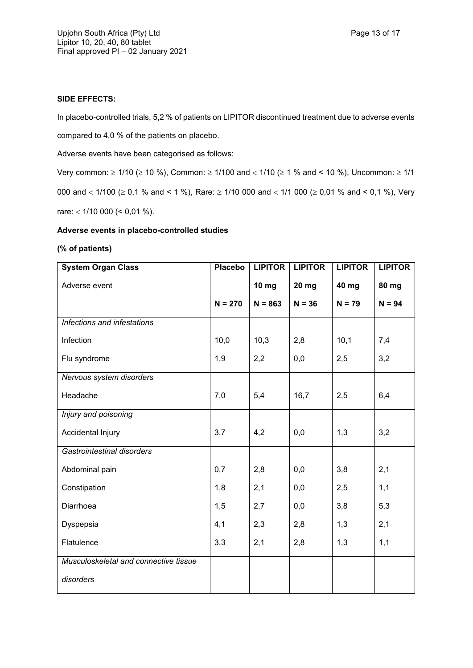## **SIDE EFFECTS:**

In placebo-controlled trials, 5,2 % of patients on LIPITOR discontinued treatment due to adverse events compared to 4,0 % of the patients on placebo.

Adverse events have been categorised as follows:

Very common:  $\geq 1/10$  ( $\geq 10$  %), Common:  $\geq 1/100$  and <  $1/10$  ( $\geq 1$  % and < 10 %), Uncommon:  $\geq 1/1$ 000 and  $<$  1/100 ( $\geq$  0,1 % and < 1 %), Rare:  $\geq$  1/10 000 and  $<$  1/1 000 ( $\geq$  0,01 % and < 0,1 %), Very rare:  $<$  1/10 000 ( $<$  0,01 %).

## **Adverse events in placebo-controlled studies**

## **(% of patients)**

| <b>System Organ Class</b>             | <b>Placebo</b> | <b>LIPITOR</b> | <b>LIPITOR</b> | <b>LIPITOR</b> | <b>LIPITOR</b> |
|---------------------------------------|----------------|----------------|----------------|----------------|----------------|
| Adverse event                         |                | <b>10 mg</b>   | 20 mg          | 40 mg          | 80 mg          |
|                                       | $N = 270$      | $N = 863$      | $N = 36$       | $N = 79$       | $N = 94$       |
| Infections and infestations           |                |                |                |                |                |
| Infection                             | 10,0           | 10,3           | 2,8            | 10,1           | 7,4            |
| Flu syndrome                          | 1,9            | 2,2            | 0,0            | 2,5            | 3,2            |
| Nervous system disorders              |                |                |                |                |                |
| Headache                              | 7,0            | 5,4            | 16,7           | 2,5            | 6,4            |
| Injury and poisoning                  |                |                |                |                |                |
| Accidental Injury                     | 3,7            | 4,2            | 0,0            | 1,3            | 3,2            |
| Gastrointestinal disorders            |                |                |                |                |                |
| Abdominal pain                        | 0,7            | 2,8            | 0,0            | 3,8            | 2,1            |
| Constipation                          | 1,8            | 2,1            | 0,0            | 2,5            | 1,1            |
| Diarrhoea                             | 1,5            | 2,7            | 0,0            | 3,8            | 5,3            |
| Dyspepsia                             | 4,1            | 2,3            | 2,8            | 1,3            | 2,1            |
| Flatulence                            | 3,3            | 2,1            | 2,8            | 1,3            | 1,1            |
| Musculoskeletal and connective tissue |                |                |                |                |                |
| disorders                             |                |                |                |                |                |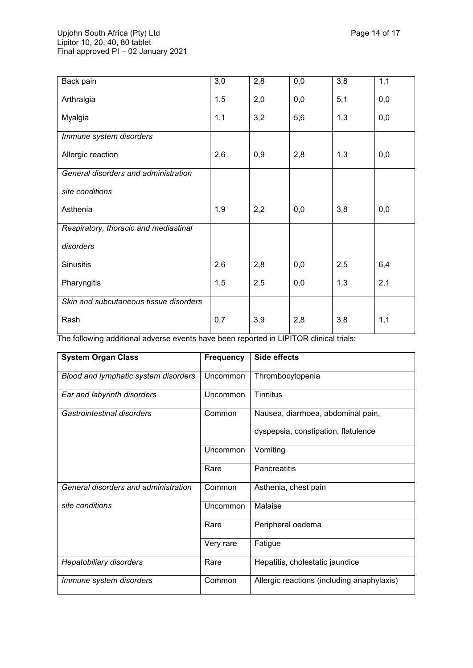| Back pain                              | 3,0 | 2,8 | 0,0 | 3,8 | 1,1 |
|----------------------------------------|-----|-----|-----|-----|-----|
| Arthralgia                             | 1,5 | 2,0 | 0,0 | 5,1 | 0,0 |
| Myalgia                                | 1,1 | 3,2 | 5,6 | 1,3 | 0,0 |
| Immune system disorders                |     |     |     |     |     |
| Allergic reaction                      | 2,6 | 0,9 | 2,8 | 1,3 | 0,0 |
| General disorders and administration   |     |     |     |     |     |
| site conditions                        |     |     |     |     |     |
| Asthenia                               | 1,9 | 2,2 | 0,0 | 3,8 | 0,0 |
| Respiratory, thoracic and mediastinal  |     |     |     |     |     |
| disorders                              |     |     |     |     |     |
| <b>Sinusitis</b>                       | 2,6 | 2,8 | 0,0 | 2,5 | 6,4 |
| Pharyngitis                            | 1,5 | 2,5 | 0,0 | 1,3 | 2,1 |
| Skin and subcutaneous tissue disorders |     |     |     |     |     |
| Rash                                   | 0,7 | 3,9 | 2,8 | 3,8 | 1,1 |

The following additional adverse events have been reported in LIPITOR clinical trials:

| <b>System Organ Class</b>            | <b>Frequency</b> | Side effects                               |
|--------------------------------------|------------------|--------------------------------------------|
| Blood and lymphatic system disorders | Uncommon         | Thrombocytopenia                           |
| Ear and labyrinth disorders          | Uncommon         | Tinnitus                                   |
| Gastrointestinal disorders           | Common           | Nausea, diarrhoea, abdominal pain,         |
|                                      |                  | dyspepsia, constipation, flatulence        |
|                                      | Uncommon         | Vomiting                                   |
|                                      | Rare             | Pancreatitis                               |
| General disorders and administration | Common           | Asthenia, chest pain                       |
| site conditions                      | Uncommon         | Malaise                                    |
|                                      | Rare             | Peripheral oedema                          |
|                                      | Very rare        | Fatigue                                    |
| <b>Hepatobiliary disorders</b>       | Rare             | Hepatitis, cholestatic jaundice            |
| Immune system disorders              | Common           | Allergic reactions (including anaphylaxis) |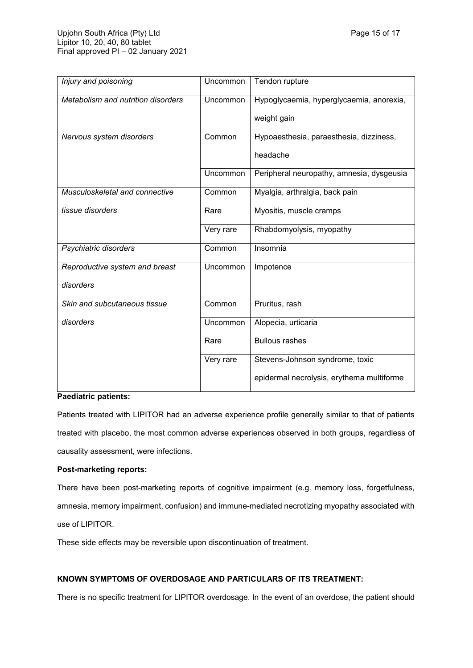| Metabolism and nutrition disorders | Uncommon        | Hypoglycaemia, hyperglycaemia, anorexia,<br>weight gain |
|------------------------------------|-----------------|---------------------------------------------------------|
|                                    |                 |                                                         |
| Nervous system disorders           | Common          | Hypoaesthesia, paraesthesia, dizziness,                 |
|                                    |                 | headache                                                |
|                                    | <b>Uncommon</b> | Peripheral neuropathy, amnesia, dysgeusia               |
| Musculoskeletal and connective     | Common          | Myalgia, arthralgia, back pain                          |
| tissue disorders                   | Rare            | Myositis, muscle cramps                                 |
|                                    | Very rare       | Rhabdomyolysis, myopathy                                |
| Psychiatric disorders              | Common          | Insomnia                                                |
| Reproductive system and breast     | Uncommon        | Impotence                                               |
| disorders                          |                 |                                                         |
| Skin and subcutaneous tissue       | Common          | Pruritus, rash                                          |
| disorders                          | Uncommon        | Alopecia, urticaria                                     |
|                                    | Rare            | <b>Bullous rashes</b>                                   |
|                                    | Very rare       | Stevens-Johnson syndrome, toxic                         |
|                                    |                 | epidermal necrolysis, erythema multiforme               |

## **Paediatric patients:**

Patients treated with LIPITOR had an adverse experience profile generally similar to that of patients treated with placebo, the most common adverse experiences observed in both groups, regardless of causality assessment, were infections.

# **Post-marketing reports:**

There have been post-marketing reports of cognitive impairment (e.g. memory loss, forgetfulness, amnesia, memory impairment, confusion) and immune-mediated necrotizing myopathy associated with use of LIPITOR.

These side effects may be reversible upon discontinuation of treatment.

# **KNOWN SYMPTOMS OF OVERDOSAGE AND PARTICULARS OF ITS TREATMENT:**

There is no specific treatment for LIPITOR overdosage. In the event of an overdose, the patient should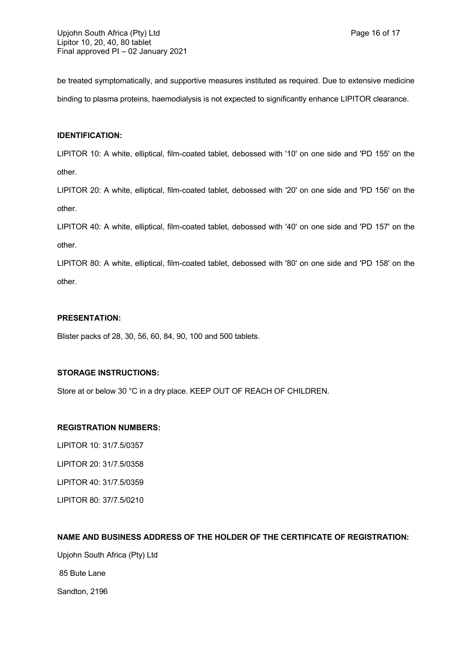be treated symptomatically, and supportive measures instituted as required. Due to extensive medicine binding to plasma proteins, haemodialysis is not expected to significantly enhance LIPITOR clearance.

## **IDENTIFICATION:**

LIPITOR 10: A white, elliptical, film-coated tablet, debossed with '10' on one side and 'PD 155' on the other.

LIPITOR 20: A white, elliptical, film-coated tablet, debossed with '20' on one side and 'PD 156' on the other.

LIPITOR 40: A white, elliptical, film-coated tablet, debossed with '40' on one side and 'PD 157' on the other.

LIPITOR 80: A white, elliptical, film-coated tablet, debossed with '80' on one side and 'PD 158' on the other.

# **PRESENTATION:**

Blister packs of 28, 30, 56, 60, 84, 90, 100 and 500 tablets.

# **STORAGE INSTRUCTIONS:**

Store at or below 30 °C in a dry place. KEEP OUT OF REACH OF CHILDREN.

## **REGISTRATION NUMBERS:**

LIPITOR 10: 31/7.5/0357 LIPITOR 20: 31/7.5/0358 LIPITOR 40: 31/7.5/0359 LIPITOR 80: 37/7.5/0210

# **NAME AND BUSINESS ADDRESS OF THE HOLDER OF THE CERTIFICATE OF REGISTRATION:**

Upjohn South Africa (Pty) Ltd 85 Bute Lane

Sandton, 2196